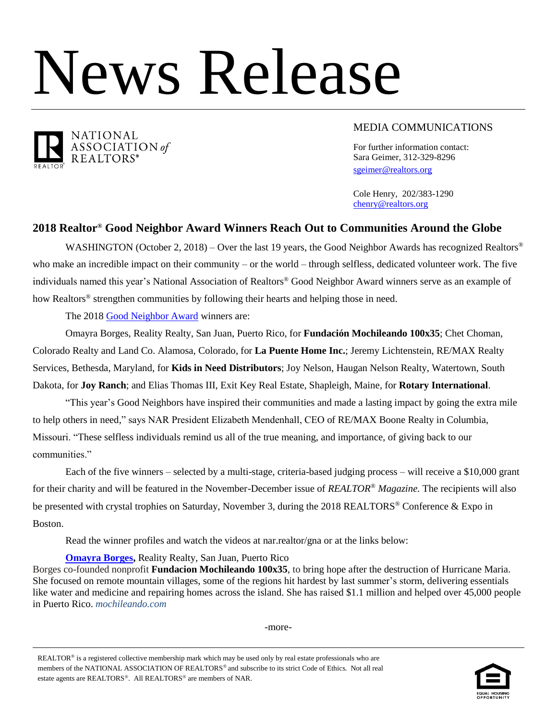# News Release



MEDIA COMMUNICATIONS

For further information contact: Sara Geimer, 312-329-8296 [sgeimer@realtors.org](mailto:sgeimer@realtors.org)

Cole Henry, 202/383-1290 [chenry@realtors.org](mailto:chenry@realtors.org)

# **2018 Realtor® Good Neighbor Award Winners Reach Out to Communities Around the Globe**

WASHINGTON (October 2, 2018) – Over the last 19 years, the Good Neighbor Awards has recognized Realtors<sup>®</sup> who make an incredible impact on their community – or the world – through selfless, dedicated volunteer work. The five individuals named this year's National Association of Realtors® Good Neighbor Award winners serve as an example of how Realtors® strengthen communities by following their hearts and helping those in need.

The 2018 [Good Neighbor Award](http://www.realtor.org/gna) winners are:

Omayra Borges, Reality Realty, San Juan, Puerto Rico, for **Fundación Mochileando 100x35**; Chet Choman, Colorado Realty and Land Co. Alamosa, Colorado, for **La Puente Home Inc.**; Jeremy Lichtenstein, RE/MAX Realty Services, Bethesda, Maryland, for **Kids in Need Distributors**; Joy Nelson, Haugan Nelson Realty, Watertown, South Dakota, for **Joy Ranch**; and Elias Thomas III, Exit Key Real Estate, Shapleigh, Maine, for **Rotary International**.

"This year's Good Neighbors have inspired their communities and made a lasting impact by going the extra mile to help others in need," says NAR President Elizabeth Mendenhall, CEO of RE/MAX Boone Realty in Columbia, Missouri. "These selfless individuals remind us all of the true meaning, and importance, of giving back to our communities."

Each of the five winners – selected by a multi-stage, criteria-based judging process – will receive a \$10,000 grant for their charity and will be featured in the November-December issue of *REALTOR® Magazine.* The recipients will also be presented with crystal trophies on Saturday, November 3, during the 2018 REALTORS<sup>®</sup> Conference & Expo in Boston.

Read the winner profiles and watch the videos at nar.realtor/gna or at the links below:

**[Omayra Borges,](file:///C:/Users/chenry/AppData/Local/Microsoft/Windows/INetCache/Content.Outlook/S30KWHK9/realtorm.ag/Borges) Reality Realty, San Juan, Puerto Rico** 

Borges co-founded nonprofit **Fundacion Mochileando 100x35**, to bring hope after the destruction of Hurricane Maria. She focused on remote mountain villages, some of the regions hit hardest by last summer's storm, delivering essentials like water and medicine and repairing homes across the island. She has raised \$1.1 million and helped over 45,000 people in Puerto Rico. *mochileando.com*

-more-

REALTOR<sup>®</sup> is a registered collective membership mark which may be used only by real estate professionals who are members of the NATIONAL ASSOCIATION OF REALTORS® and subscribe to its strict Code of Ethics. Not all real estate agents are REALTORS<sup>®</sup>. All REALTORS<sup>®</sup> are members of NAR.

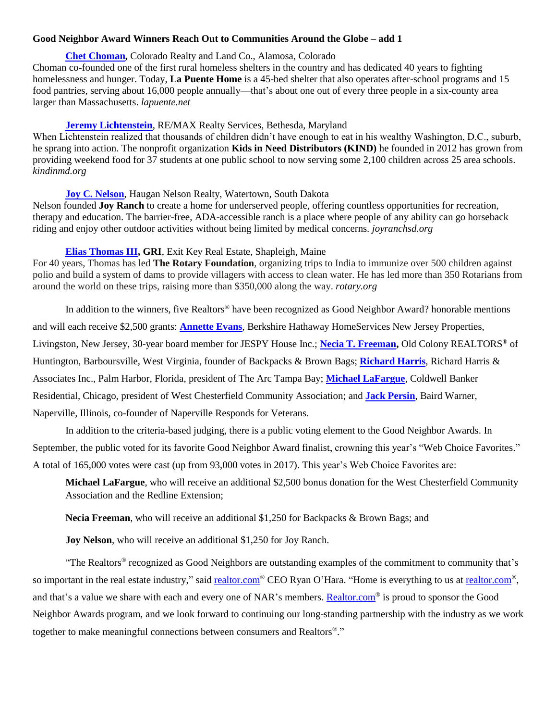### **Good Neighbor Award Winners Reach Out to Communities Around the Globe – add 1**

## **[Chet Choman,](file:///C:/Users/chenry/AppData/Local/Microsoft/Windows/INetCache/Content.Outlook/S30KWHK9/realtorm.ag/Choman)** Colorado Realty and Land Co., Alamosa, Colorado

Choman co-founded one of the first rural homeless shelters in the country and has dedicated 40 years to fighting homelessness and hunger. Today, **La Puente Home** is a 45-bed shelter that also operates after-school programs and 15 food pantries, serving about 16,000 people annually—that's about one out of every three people in a six-county area larger than Massachusetts. *lapuente.net*

# **[Jeremy Lichtenstein](file:///C:/Users/chenry/AppData/Local/Microsoft/Windows/INetCache/Content.Outlook/S30KWHK9/realtorm.ag/Lichtenstein)**, RE/MAX Realty Services, Bethesda, Maryland

When Lichtenstein realized that thousands of children didn't have enough to eat in his wealthy Washington, D.C., suburb, he sprang into action. The nonprofit organization **Kids in Need Distributors (KIND)** he founded in 2012 has grown from providing weekend food for 37 students at one public school to now serving some 2,100 children across 25 area schools. *kindinmd.org*

## **[Joy C. Nelson](file:///C:/Users/chenry/AppData/Local/Microsoft/Windows/INetCache/Content.Outlook/S30KWHK9/realtorm.ag/Nelson)**, Haugan Nelson Realty, Watertown, South Dakota

Nelson founded **Joy Ranch** to create a home for underserved people, offering countless opportunities for recreation, therapy and education. The barrier-free, ADA-accessible ranch is a place where people of any ability can go horseback riding and enjoy other outdoor activities without being limited by medical concerns. *joyranchsd.org*

# **[Elias Thomas III,](file:///C:/Users/chenry/AppData/Local/Microsoft/Windows/INetCache/Content.Outlook/S30KWHK9/realtorm.ag/Thomas) GRI**, Exit Key Real Estate, Shapleigh, Maine

For 40 years, Thomas has led **The Rotary Foundation**, organizing trips to India to immunize over 500 children against polio and build a system of dams to provide villagers with access to clean water. He has led more than 350 Rotarians from around the world on these trips, raising more than \$350,000 along the way. *rotary.org*

In addition to the winners, five Realtors® have been recognized as Good Neighbor Award? honorable mentions and will each receive \$2,500 grants: **[Annette Evans](file:///C:/Users/chenry/AppData/Local/Microsoft/Windows/INetCache/Content.Outlook/S30KWHK9/realtorm.ag/Evans)**, Berkshire Hathaway HomeServices New Jersey Properties, Livingston, New Jersey, 30-year board member for JESPY House Inc.; **[Necia T. Freeman,](file:///C:/Users/chenry/AppData/Local/Microsoft/Windows/INetCache/Content.Outlook/S30KWHK9/realtorm.ag/Freeman)** Old Colony REALTORS® of Huntington, Barboursville, West Virginia, founder of Backpacks & Brown Bags; **[Richard Harris](file:///C:/Users/chenry/AppData/Local/Microsoft/Windows/INetCache/Content.Outlook/S30KWHK9/realtorm.ag/Harris)**, Richard Harris & Associates Inc., Palm Harbor, Florida, president of The Arc Tampa Bay; **[Michael LaFargue](file:///C:/Users/chenry/AppData/Local/Microsoft/Windows/INetCache/Content.Outlook/S30KWHK9/realtorm.ag/LaFargue)**, Coldwell Banker Residential, Chicago, president of West Chesterfield Community Association; and **[Jack Persin](file:///C:/Users/chenry/AppData/Local/Microsoft/Windows/INetCache/Content.Outlook/S30KWHK9/realtorm.ag/Persin)**, Baird Warner, Naperville, Illinois, co-founder of Naperville Responds for Veterans.

In addition to the criteria-based judging, there is a public voting element to the Good Neighbor Awards. In September, the public voted for its favorite Good Neighbor Award finalist, crowning this year's "Web Choice Favorites." A total of 165,000 votes were cast (up from 93,000 votes in 2017). This year's Web Choice Favorites are:

**Michael LaFargue**, who will receive an additional \$2,500 bonus donation for the West Chesterfield Community Association and the Redline Extension;

**Necia Freeman**, who will receive an additional \$1,250 for Backpacks & Brown Bags; and

**Joy Nelson**, who will receive an additional \$1,250 for Joy Ranch.

"The Realtors® recognized as Good Neighbors are outstanding examples of the commitment to community that's so important in the real estate industry," said [realtor.com](https://na01.safelinks.protection.outlook.com/?url=http%3A%2F%2Frealtor.com%2F&data=01%7C01%7Csgeimer%40realtors.org%7Cf551bcf4375a4bfc239108d61fef1c18%7C508bf1e00926458aa1eeccfb79f409c6%7C0&sdata=hB1uXPTrlB%2Fb0U9p%2Bs%2FT%2BR%2Bcr7XdDz397oEwz%2Ft2U9o%3D&reserved=0)® CEO Ryan O'Hara. "Home is everything to us at realtor.com®, and that's a value we share with each and every one of NAR's members. [Realtor.com](http://realtor.com/)<sup>®</sup> is proud to sponsor the Good Neighbor Awards program, and we look forward to continuing our long-standing partnership with the industry as we work together to make meaningful connections between consumers and Realtors®."